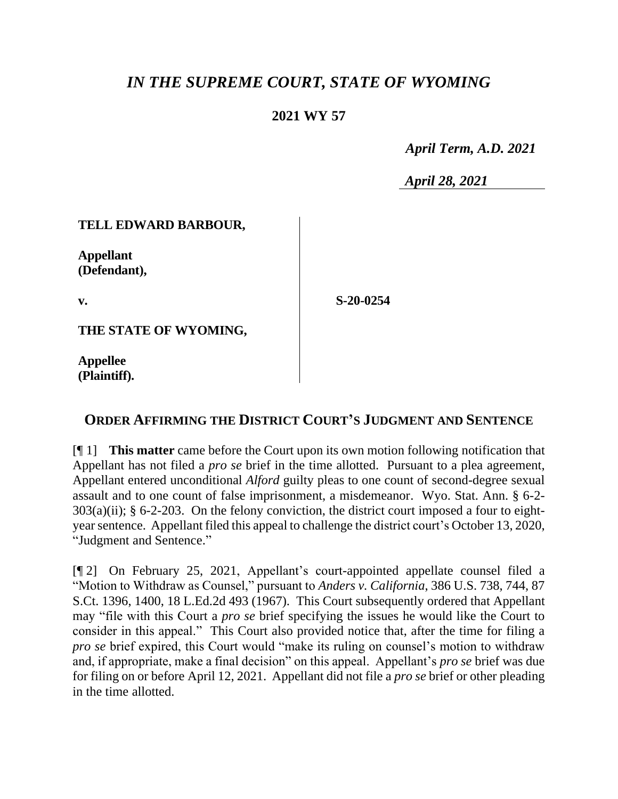# *IN THE SUPREME COURT, STATE OF WYOMING*

## **2021 WY 57**

 *April Term, A.D. 2021*

*April 28, 2021*

### **TELL EDWARD BARBOUR,**

**Appellant (Defendant),**

**v.**

**S-20-0254**

**THE STATE OF WYOMING,**

**Appellee (Plaintiff).**

## **ORDER AFFIRMING THE DISTRICT COURT'S JUDGMENT AND SENTENCE**

[¶ 1] **This matter** came before the Court upon its own motion following notification that Appellant has not filed a *pro se* brief in the time allotted. Pursuant to a plea agreement, Appellant entered unconditional *Alford* guilty pleas to one count of second-degree sexual assault and to one count of false imprisonment, a misdemeanor. Wyo. Stat. Ann. § 6-2-  $303(a)(ii)$ ; § 6-2-203. On the felony conviction, the district court imposed a four to eightyear sentence. Appellant filed this appeal to challenge the district court's October 13, 2020, "Judgment and Sentence."

[¶ 2] On February 25, 2021, Appellant's court-appointed appellate counsel filed a "Motion to Withdraw as Counsel," pursuant to *Anders v. California*, 386 U.S. 738, 744, 87 S.Ct. 1396, 1400, 18 L.Ed.2d 493 (1967). This Court subsequently ordered that Appellant may "file with this Court a *pro se* brief specifying the issues he would like the Court to consider in this appeal." This Court also provided notice that, after the time for filing a *pro se* brief expired, this Court would "make its ruling on counsel's motion to withdraw and, if appropriate, make a final decision" on this appeal. Appellant's *pro se* brief was due for filing on or before April 12, 2021. Appellant did not file a *pro se* brief or other pleading in the time allotted.